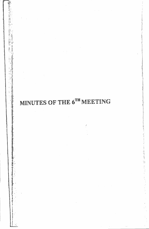## MINUTES OF THE 6TH MEETING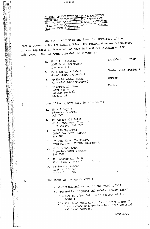**품품품품품품품** 

MINUTES OF THE MEETING OF THE EXECUTIVE COMMITTEE OF THE BOARD OF GOVERNORS OF THE HOUSING SCHETTE FOR FEDERAL GOVERNMENT IMPLOYEES ON OWNERSHIP BASIS AT ISLAMABAD HFLD ON 25TH JUNF, 1989

The sixth meeting of the Executive Committee of the Board of Governors for the Housing Scheme for Federal Government Employees on ownership basis at Islamabad was held in the Works Division on 25th The following attended the meeting :-June 1989.

- a. Mr S A S Ainuddin Additional Secretary Incharge (H&W)
- b. Mr A Rashid K Baloch Joint Secretary (Works)
- c. Mr Hamid Akhtar Miazi Financial Advisor(Works)
- d. Mr Samiullah Khan Joint Secretary Cabinet Division Rawalpindi.

The following were also in attendance:-

- a. Mr M I Rajput Director General Pak PWD
- b. Mr Masood Ali Zaidi Chief Fogineer (Planning) DG's Office, Pak PWD.
- c. Mr M Rafiq Ahmed Chief Engineer (North) Pak PVD
- d. Mr Ijaz Ahmad Tawakkaly, Area Manager, PEPAC, Islamabad.
- e. Mr M Rasool Khan Superintending Engineer Pak PWD
- f. Mr Sarshar Ali Malik OSD (P&EC), Works Division.
- g. Mr Perviez Akhtar Section Officer Works Division.

The Items on the agenda were :-

- a. Organizational set up of the Housing Cell.
- b. Preparation of plans and models through PEPAC
- c. Issuance of offer letters in respect of the following;
	- (1) All those applicants of categories I and II houses whose declarations have been verified and found correct.

Contd.P/2.

医阿尔塞斯斯霍维斯斯 腹泻的过去式和过去分词 医眼下的

President in Chair

Senior Vice President

Member

Member

 $2.$ 

 $3.$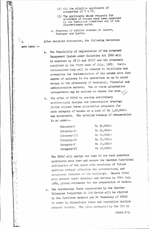- (2) All the eligible applicants of categories of V & VI.
- (3) The applicants whose requests for allotment of houses have been approved by the Executive Committee out of its discretionary quota.
- d. Progress of similar schemes at Lahore, Peshawar and Quetta.

After detailed discussion, the following decisions

were taken :-

- The feasibility of registration of the proposed  $a_{\bullet}$ Management System under Societies Act 1860 will be examined by  $J\mathfrak{A} W$ ) and  $DS(C)$  and the proposals submitted by the first week of July, 1989. Institutionalised body will be created to facilitate and streamline the implementation of the scheme with fair degree of autonomy in its operations so as to avoid delays in the processing of technical, financial and administrative matters. Two or three alternative arrangements may be evolved to choose the best.
- b. The offer of PEPAC to provide preliminary architectural designs and presentation drawings giving atleast three alternative proposals for each category of houses at a cost of Rs 1,20,000/was acceptable. The detailed breakup of remuneration is as under:-

| Category-I          | $Rs$ 30,000/-    |
|---------------------|------------------|
| Category-II         | Rs.30,000/-      |
| Category-III        | Rs 20,000/-      |
| Category-IV         | $RS_{120,000}/-$ |
| $\text{Category}-V$ | Rs 10,000/-      |
| Category-VI         | Rs 10,000/-      |
|                     |                  |

The PEPAC will assign the task to the best possible architects with them and ensure the maximum functional utilisation of the space with provision of future addition without affecting the architectural and structural features of the buildings. Messrs PEPAC will present their drawings and designs by 20th July 1989, giving estimates for the preparation of models.

c. The residential flats constructed by the Carrier Telephone Industries in I-9 Sector will be visited by the Committee members and Mr Tawakkaly of PEPAC in order to disseminate ideas and innovative designs adopted therein. The plots earmarked by the CDA in

Contd. $P/3$ .